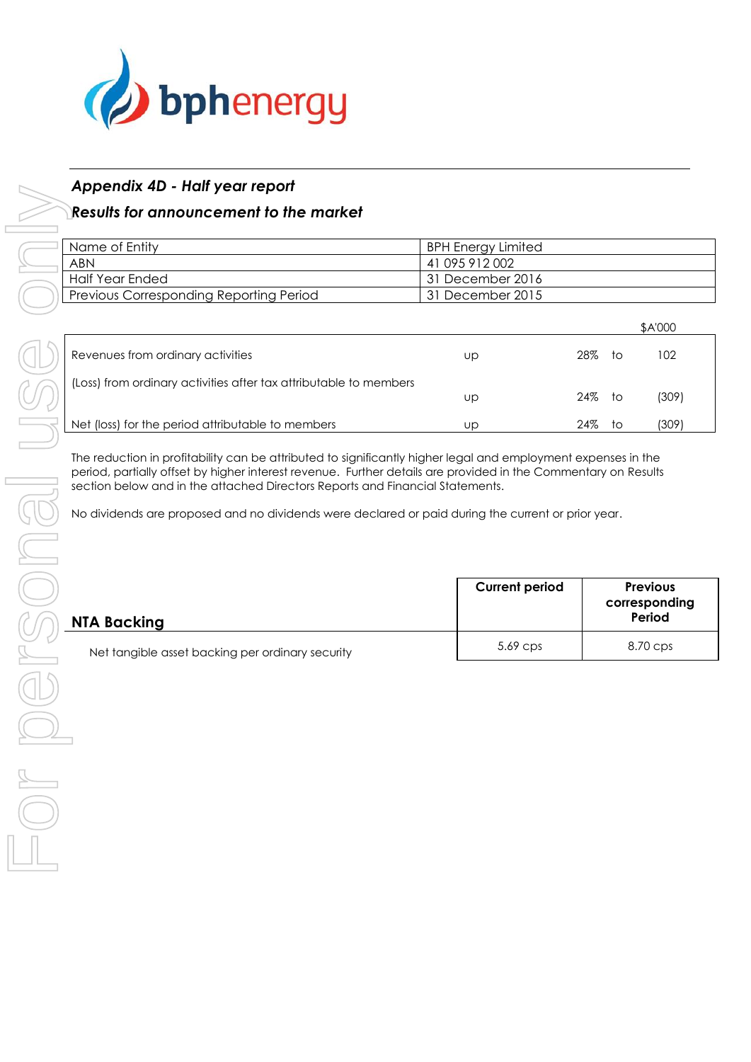

## *Appendix 4D - Half year report*

## *Results for announcement to the market*

| Name of Entity                          | BPH Energy Limited |
|-----------------------------------------|--------------------|
| <b>ABN</b>                              | 41 095 912 002     |
| Half Year Ended                         | 131 December 2016  |
| Previous Corresponding Reporting Period | 31 December 2015   |

|                                                                   |    |     |     | \$A'000 |
|-------------------------------------------------------------------|----|-----|-----|---------|
| Revenues from ordinary activities                                 | UD | 28% | to. | 102     |
| (Loss) from ordinary activities after tax attributable to members | Up | 24% | to. | (309)   |
| Net (loss) for the period attributable to members                 | UD | 24% | ŤΟ  | (309)   |

The reduction in profitability can be attributed to significantly higher legal and employment expenses in the period, partially offset by higher interest revenue. Further details are provided in the Commentary on Results section below and in the attached Directors Reports and Financial Statements.

No dividends are proposed and no dividends were declared or paid during the current or prior year.

| NTA Backing                                      | <b>Current period</b> | <b>Previous</b><br>corresponding<br>Period |
|--------------------------------------------------|-----------------------|--------------------------------------------|
| Net tangible asset backing per ordinary security | $5.69$ Cps            | 8.70 cps                                   |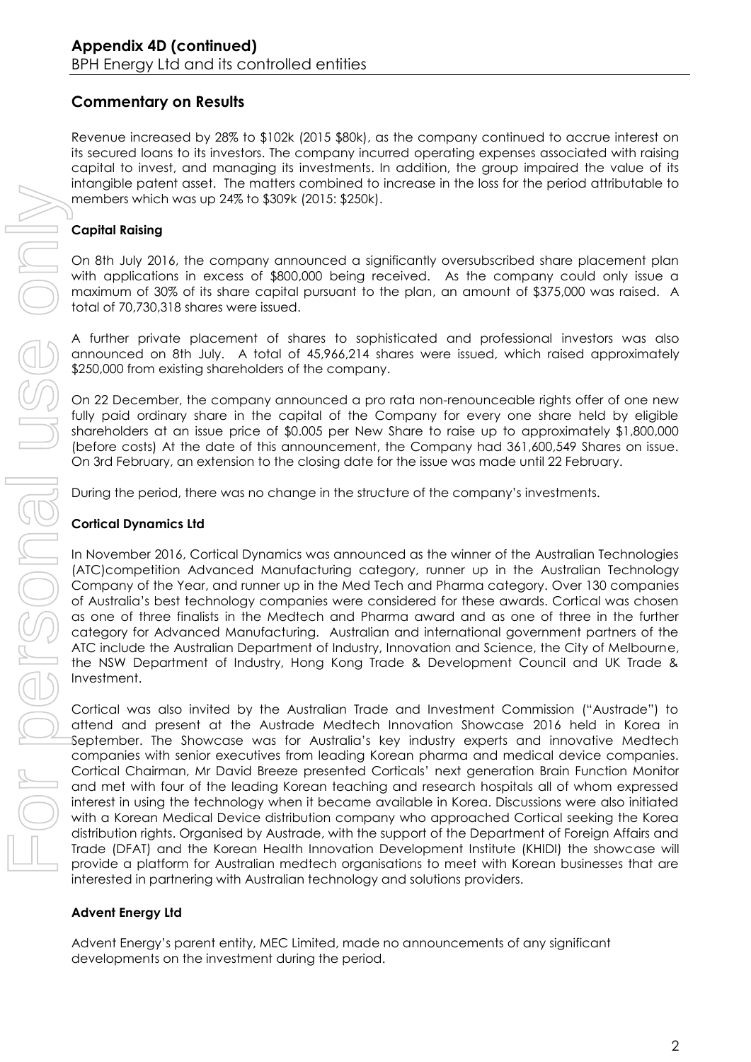## **Commentary on Results**

Revenue increased by 28% to \$102k (2015 \$80k), as the company continued to accrue interest on its secured loans to its investors. The company incurred operating expenses associated with raising capital to invest, and managing its investments. In addition, the group impaired the value of its intangible patent asset. The matters combined to increase in the loss for the period attributable to members which was up 24% to \$309k (2015: \$250k).

### **Capital Raising**

On 8th July 2016, the company announced a significantly oversubscribed share placement plan with applications in excess of \$800,000 being received. As the company could only issue a maximum of 30% of its share capital pursuant to the plan, an amount of \$375,000 was raised. A total of 70,730,318 shares were issued.

A further private placement of shares to sophisticated and professional investors was also announced on 8th July. A total of 45,966,214 shares were issued, which raised approximately \$250,000 from existing shareholders of the company.

On 22 December, the company announced a pro rata non-renounceable rights offer of one new fully paid ordinary share in the capital of the Company for every one share held by eligible shareholders at an issue price of \$0.005 per New Share to raise up to approximately \$1,800,000 (before costs) At the date of this announcement, the Company had 361,600,549 Shares on issue. On 3rd February, an extension to the closing date for the issue was made until 22 February.

During the period, there was no change in the structure of the company's investments.

#### **Cortical Dynamics Ltd**

In November 2016, Cortical Dynamics was announced as the winner of the Australian Technologies (ATC)competition Advanced Manufacturing category, runner up in the Australian Technology Company of the Year, and runner up in the Med Tech and Pharma category. Over 130 companies of Australia's best technology companies were considered for these awards. Cortical was chosen as one of three finalists in the Medtech and Pharma award and as one of three in the further category for Advanced Manufacturing. Australian and international government partners of the ATC include the Australian Department of Industry, Innovation and Science, the City of Melbourne, the NSW Department of Industry, Hong Kong Trade & Development Council and UK Trade & Investment.

Cortical was also invited by the Australian Trade and Investment Commission ("Austrade") to attend and present at the Austrade Medtech Innovation Showcase 2016 held in Korea in September. The Showcase was for Australia's key industry experts and innovative Medtech companies with senior executives from leading Korean pharma and medical device companies. Cortical Chairman, Mr David Breeze presented Corticals' next generation Brain Function Monitor and met with four of the leading Korean teaching and research hospitals all of whom expressed interest in using the technology when it became available in Korea. Discussions were also initiated with a Korean Medical Device distribution company who approached Cortical seeking the Korea distribution rights. Organised by Austrade, with the support of the Department of Foreign Affairs and Trade (DFAT) and the Korean Health Innovation Development Institute (KHIDI) the showcase will provide a platform for Australian medtech organisations to meet with Korean businesses that are interested in partnering with Australian technology and solutions providers. members which was up 24% to \$30% (2015: \$250%).<br> **Capital Raising**<br>
On 8th July 2016, the company amounced a sign maximum of 30% of its share capital pusuan it of the individual profits in excess of \$800,000 being reet and

#### **Advent Energy Ltd**

Advent Energy's parent entity, MEC Limited, made no announcements of any significant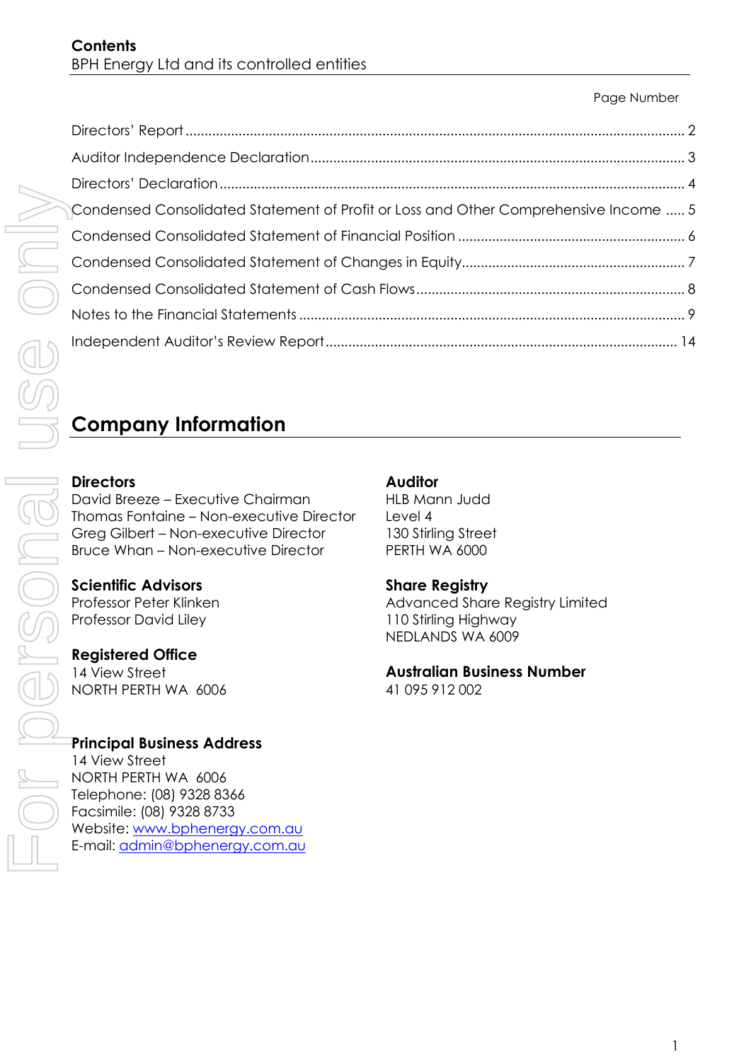#### Page Number

| Condensed Consolidated Statement of Profit or Loss and Other Comprehensive Income  5 |  |
|--------------------------------------------------------------------------------------|--|
|                                                                                      |  |
|                                                                                      |  |
|                                                                                      |  |
|                                                                                      |  |
|                                                                                      |  |

# **Company Information**

## **Directors**

David Breeze – Executive Chairman Thomas Fontaine – Non-executive Director Greg Gilbert – Non-executive Director Bruce Whan – Non-executive Director

#### **Scientific Advisors** Professor Peter Klinken Professor David Liley

## **Registered Office**

14 View Street NORTH PERTH WA 6006

## **Principal Business Address**

14 View Street NORTH PERTH WA 6006 Telephone: (08) 9328 8366 Facsimile: (08) 9328 8733 Website: [www.bphenergy.com.au](http://www.bphenergy.com.au/) E-mail: [admin@bphenergy.com.au](mailto:admin@bphenergy.com.au)

## **Auditor**

HLB Mann Judd Level 4 130 Stirling Street PERTH WA 6000

## **Share Registry**

Advanced Share Registry Limited 110 Stirling Highway NEDLANDS WA 6009

## **Australian Business Number**

41 095 912 002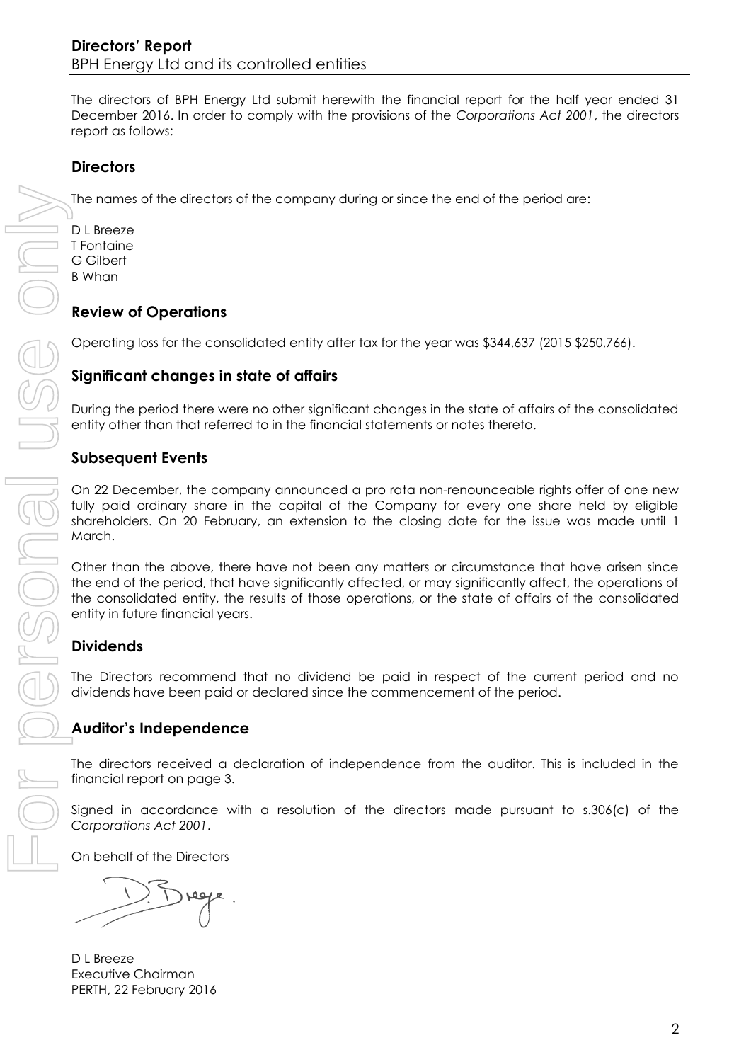## **Directors' Report**  BPH Energy Ltd and its controlled entities

The directors of BPH Energy Ltd submit herewith the financial report for the half year ended 31 December 2016. In order to comply with the provisions of the *Corporations Act 2001*, the directors report as follows:

## **Directors**

The names of the directors of the company during or since the end of the period are:

D L Breeze T Fontaine G Gilbert B Whan

## **Review of Operations**

Operating loss for the consolidated entity after tax for the year was \$344,637 (2015 \$250,766).

## **Significant changes in state of affairs**

During the period there were no other significant changes in the state of affairs of the consolidated entity other than that referred to in the financial statements or notes thereto.

### **Subsequent Events**

On 22 December, the company announced a pro rata non-renounceable rights offer of one new fully paid ordinary share in the capital of the Company for every one share held by eligible shareholders. On 20 February, an extension to the closing date for the issue was made until 1 March.

Other than the above, there have not been any matters or circumstance that have arisen since the end of the period, that have significantly affected, or may significantly affect, the operations of the consolidated entity, the results of those operations, or the state of affairs of the consolidated entity in future financial years.

## **Dividends**

The Directors recommend that no dividend be paid in respect of the current period and no dividends have been paid or declared since the commencement of the period.

## **Auditor's Independence**

The directors received a declaration of independence from the auditor. This is included in the financial report on page 3.

Signed in accordance with a resolution of the directors made pursuant to s.306(c) of the *Corporations Act 2001*.

On behalf of the Directors

D L Breeze Executive Chairman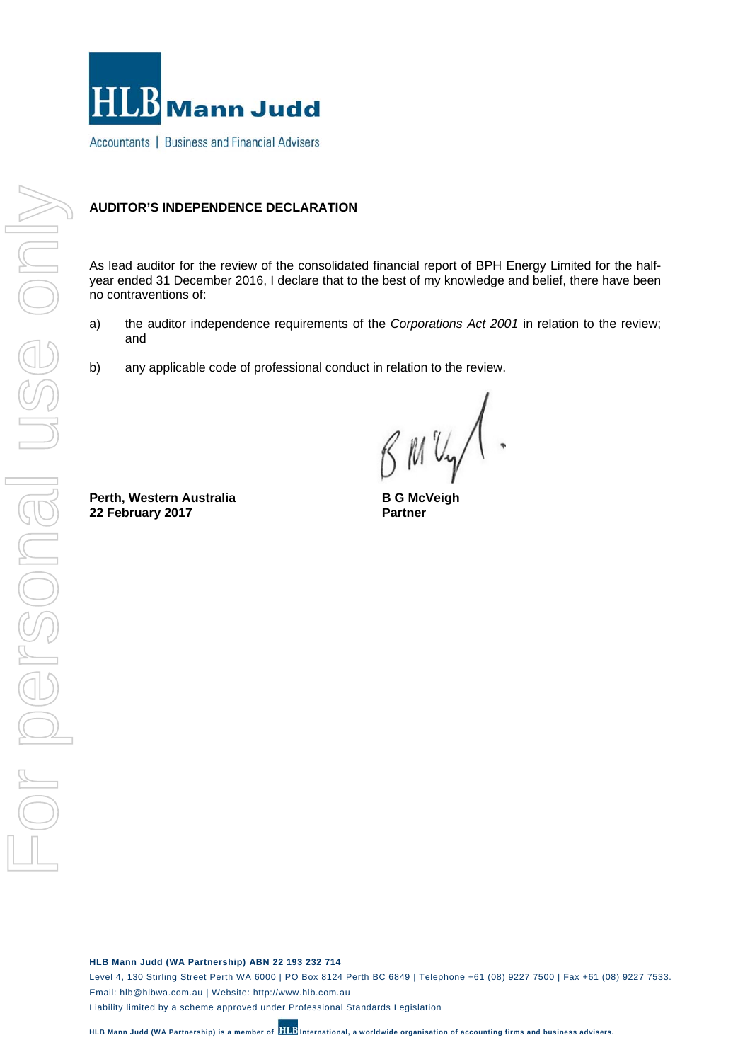

Accountants | Business and Financial Advisers

#### **AUDITOR'S INDEPENDENCE DECLARATION**

As lead auditor for the review of the consolidated financial report of BPH Energy Limited for the halfyear ended 31 December 2016, I declare that to the best of my knowledge and belief, there have been no contraventions of:

- a) the auditor independence requirements of the *Corporations Act 2001* in relation to the review; and
- b) any applicable code of professional conduct in relation to the review.

 $Mv_{\gamma}$ .

**Perth, Western Australia 22 February 2017**

**B G McVeigh Partner**

**HLB Mann Judd (WA Partnership) ABN 22 193 232 714** 

Level 4, 130 Stirling Street Perth WA 6000 | PO Box 8124 Perth BC 6849 | Telephone +61 (08) 9227 7500 | Fax +61 (08) 9227 7533. Email: hlb@hlbwa.com.au | Website: http://www.hlb.com.au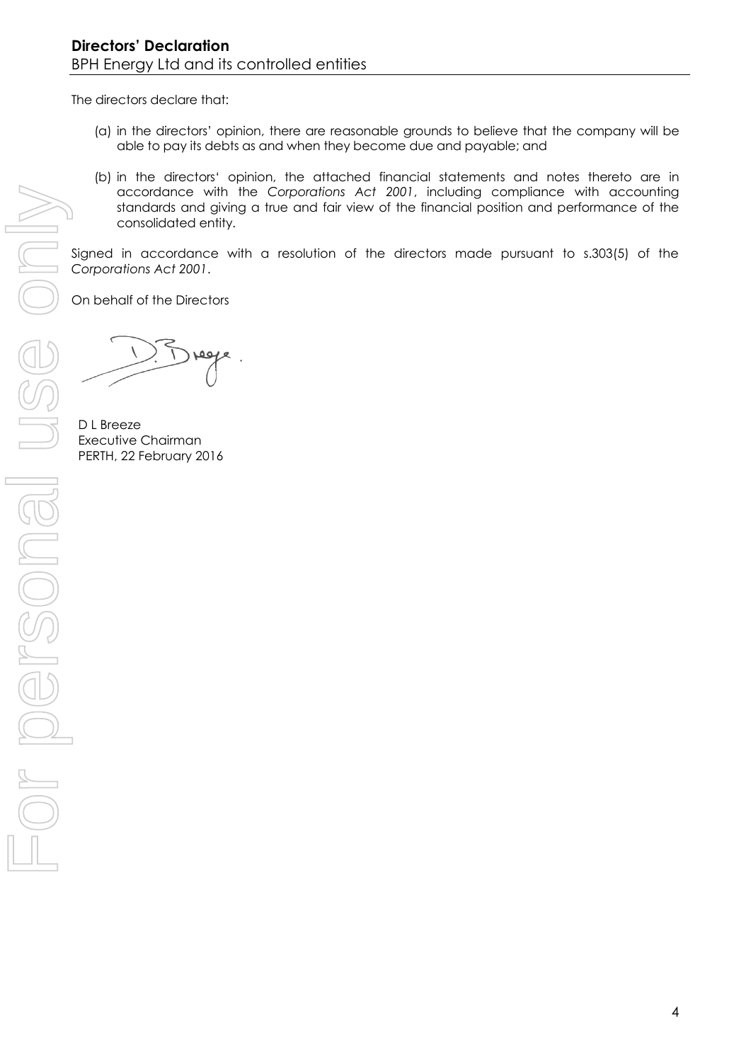The directors declare that:

- (a) in the directors' opinion, there are reasonable grounds to believe that the company will be able to pay its debts as and when they become due and payable; and
- (b) in the directors' opinion, the attached financial statements and notes thereto are in accordance with the *Corporations Act 2001*, including compliance with accounting standards and giving a true and fair view of the financial position and performance of the consolidated entity.

Signed in accordance with a resolution of the directors made pursuant to s.303(5) of the *Corporations Act 2001*.

On behalf of the Directors

D L Breeze Executive Chairman PERTH, 22 February 2016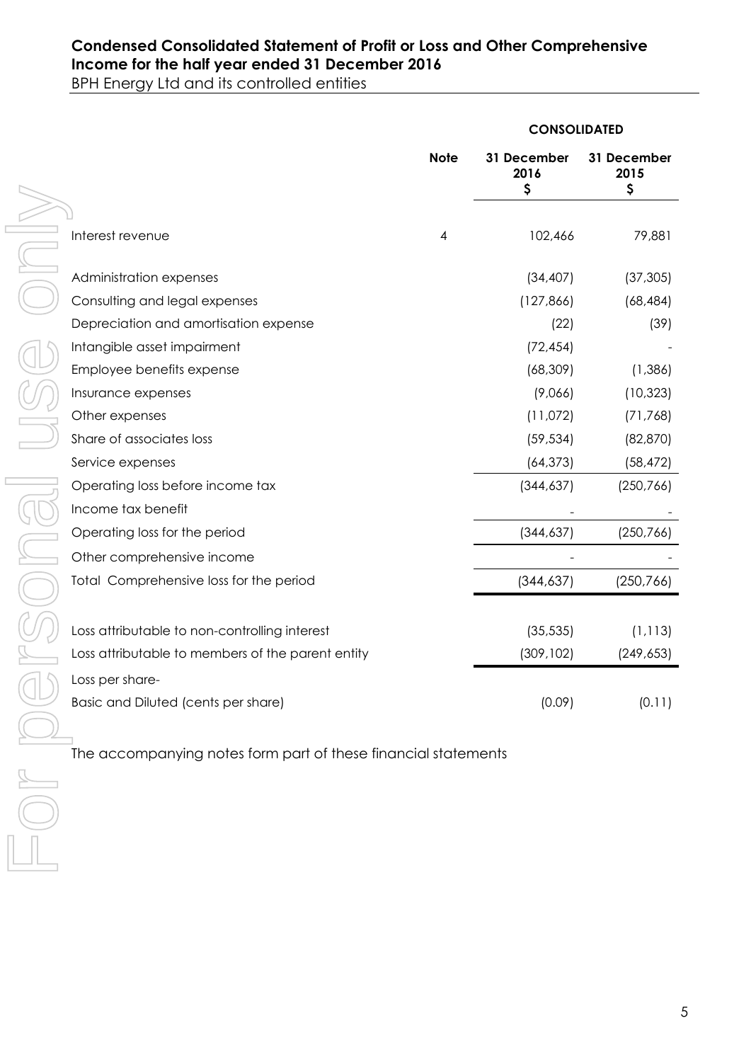## **Condensed Consolidated Statement of Profit or Loss and Other Comprehensive Income for the half year ended 31 December 2016**

BPH Energy Ltd and its controlled entities

|                                                                |             | <b>CONSOLIDATED</b>       |                           |
|----------------------------------------------------------------|-------------|---------------------------|---------------------------|
|                                                                | <b>Note</b> | 31 December<br>2016<br>\$ | 31 December<br>2015<br>\$ |
|                                                                |             |                           |                           |
| Interest revenue                                               | 4           | 102,466                   | 79,881                    |
| Administration expenses                                        |             | (34, 407)                 | (37, 305)                 |
| Consulting and legal expenses                                  |             | (127, 866)                | (68, 484)                 |
| Depreciation and amortisation expense                          |             | (22)                      | (39)                      |
| Intangible asset impairment                                    |             | (72, 454)                 |                           |
| Employee benefits expense                                      |             | (68, 309)                 | (1,386)                   |
| Insurance expenses                                             |             | (9,066)                   | (10, 323)                 |
| Other expenses                                                 |             | (11,072)                  | (71, 768)                 |
| Share of associates loss                                       |             | (59, 534)                 | (82, 870)                 |
| Service expenses                                               |             | (64, 373)                 | (58, 472)                 |
| Operating loss before income tax                               |             | (344, 637)                | (250, 766)                |
| Income tax benefit                                             |             |                           |                           |
| Operating loss for the period                                  |             | (344, 637)                | (250, 766)                |
| Other comprehensive income                                     |             |                           |                           |
| Total Comprehensive loss for the period                        |             | (344, 637)                | (250, 766)                |
|                                                                |             |                           |                           |
| Loss attributable to non-controlling interest                  |             | (35, 535)                 | (1, 113)                  |
| Loss attributable to members of the parent entity              |             | (309, 102)                | (249, 653)                |
| Loss per share-                                                |             |                           |                           |
| Basic and Diluted (cents per share)                            |             | (0.09)                    | (0.11)                    |
|                                                                |             |                           |                           |
| The accompanying notes form part of these financial statements |             |                           |                           |
|                                                                |             |                           |                           |
|                                                                |             |                           |                           |
|                                                                |             |                           |                           |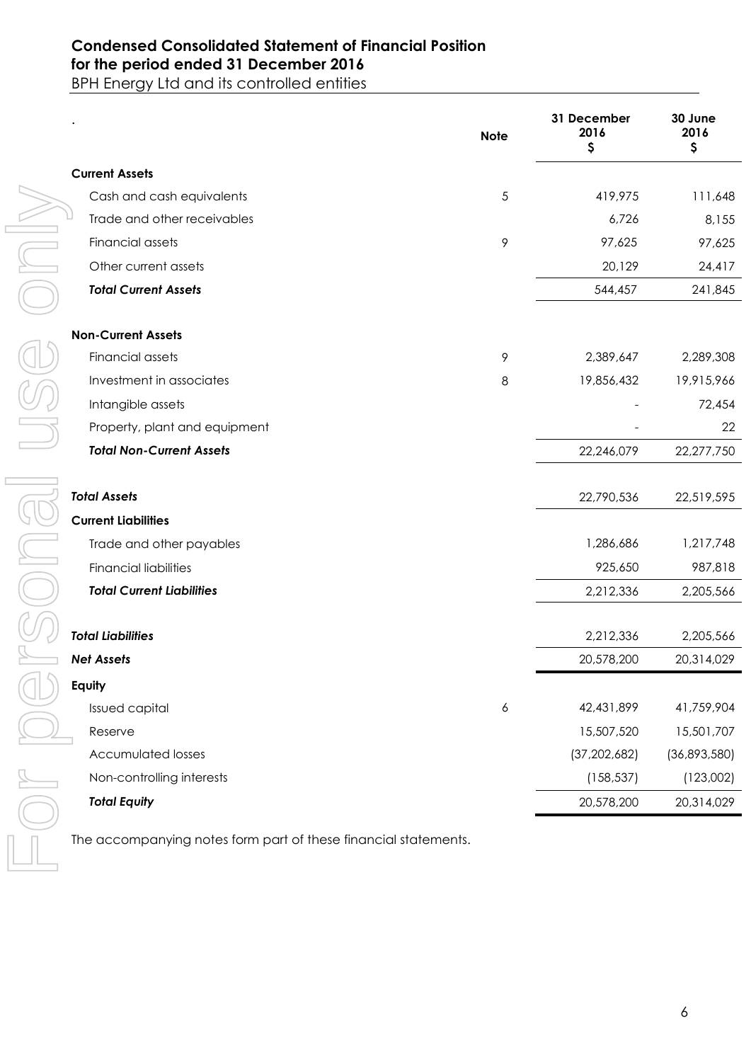## **Condensed Consolidated Statement of Financial Position for the period ended 31 December 2016**

BPH Energy Ltd and its controlled entities

|                                                                 | <b>Note</b> | 31 December<br>2016<br>\$ | 30 June<br>2016<br>\$ |
|-----------------------------------------------------------------|-------------|---------------------------|-----------------------|
| <b>Current Assets</b>                                           |             |                           |                       |
| Cash and cash equivalents                                       | 5           | 419,975                   | 111,648               |
| Trade and other receivables                                     |             | 6,726                     | 8,155                 |
| Financial assets                                                | 9           | 97,625                    | 97,625                |
| Other current assets                                            |             | 20,129                    | 24,417                |
| <b>Total Current Assets</b>                                     |             | 544,457                   | 241,845               |
| <b>Non-Current Assets</b>                                       |             |                           |                       |
| Financial assets                                                | 9           | 2,389,647                 | 2,289,308             |
| Investment in associates                                        | 8           | 19,856,432                | 19,915,966            |
| Intangible assets                                               |             |                           | 72,454                |
| Property, plant and equipment                                   |             |                           | 22                    |
| <b>Total Non-Current Assets</b>                                 |             | 22,246,079                | 22,277,750            |
| <b>Total Assets</b>                                             |             | 22,790,536                | 22,519,595            |
| <b>Current Liabilities</b>                                      |             |                           |                       |
| Trade and other payables                                        |             | 1,286,686                 | 1,217,748             |
| <b>Financial liabilities</b>                                    |             | 925,650                   | 987,818               |
| <b>Total Current Liabilities</b>                                |             | 2,212,336                 | 2,205,566             |
| <b>Total Liabilities</b>                                        |             | 2,212,336                 | 2,205,566             |
| <b>Net Assets</b>                                               |             | 20,578,200                | 20,314,029            |
| Equity                                                          |             |                           |                       |
| Issued capital                                                  | 6           | 42,431,899                | 41,759,904            |
| Reserve                                                         |             | 15,507,520                | 15,501,707            |
| <b>Accumulated losses</b>                                       |             | (37, 202, 682)            | (36,893,580)          |
| Non-controlling interests                                       |             | (158, 537)                | (123,002)             |
| <b>Total Equity</b>                                             |             | 20,578,200                | 20,314,029            |
| The accompanying notes form part of these financial statements. |             |                           |                       |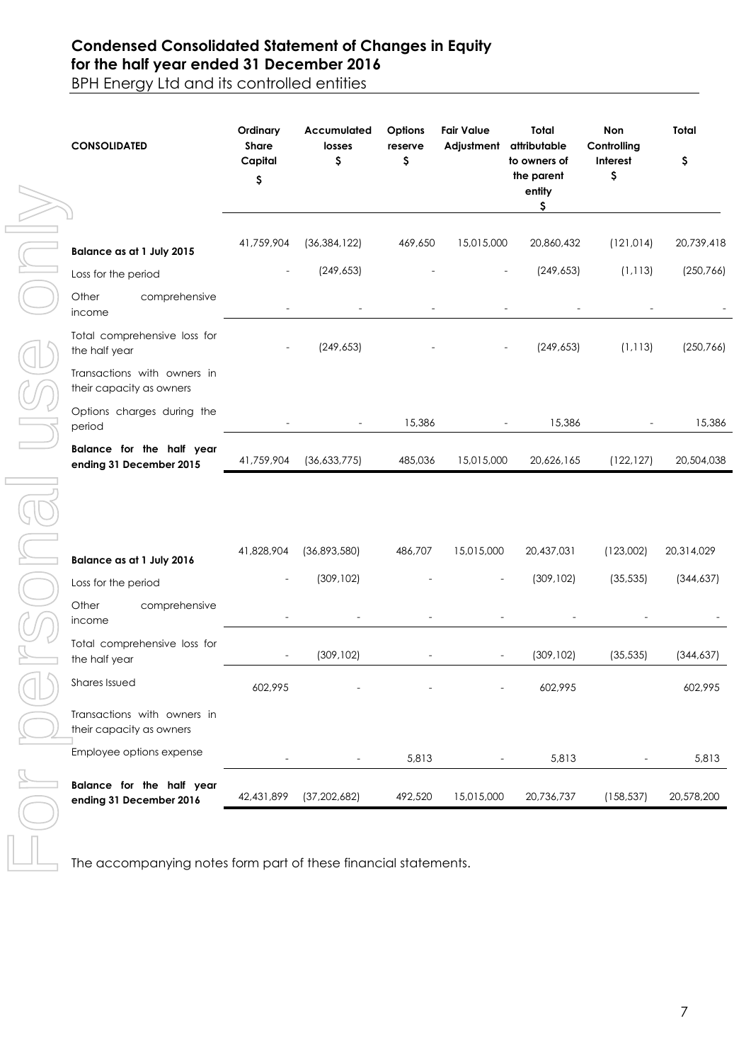## **Condensed Consolidated Statement of Changes in Equity for the half year ended 31 December 2016**

BPH Energy Ltd and its controlled entities

| <b>CONSOLIDATED</b>                                             | Ordinary<br>Share<br>Capital<br>\$ | Accumulated<br>losses<br>\$ | Options<br>reserve<br>\$ | <b>Fair Value</b><br>Adjustment | Total<br>attributable<br>to owners of<br>the parent<br>entity<br>\$ | Non<br>Controlling<br>Interest<br>\$ | Total<br>\$ |
|-----------------------------------------------------------------|------------------------------------|-----------------------------|--------------------------|---------------------------------|---------------------------------------------------------------------|--------------------------------------|-------------|
| Balance as at 1 July 2015                                       | 41,759,904                         | (36, 384, 122)              | 469,650                  | 15,015,000                      | 20,860,432                                                          | (121, 014)                           | 20,739,418  |
| Loss for the period                                             |                                    | (249, 653)                  |                          |                                 | (249, 653)                                                          | (1, 113)                             | (250, 766)  |
| Other<br>comprehensive<br>income                                |                                    |                             |                          |                                 |                                                                     |                                      |             |
| Total comprehensive loss for<br>the half year                   |                                    | (249, 653)                  |                          |                                 | (249, 653)                                                          | (1, 113)                             | (250, 766)  |
| Transactions with owners in<br>their capacity as owners         |                                    |                             |                          |                                 |                                                                     |                                      |             |
| Options charges during the<br>period                            |                                    |                             | 15,386                   |                                 | 15,386                                                              |                                      | 15,386      |
| Balance for the half year<br>ending 31 December 2015            | 41,759,904                         | (36,633,775)                | 485,036                  | 15,015,000                      | 20,626,165                                                          | (122, 127)                           | 20,504,038  |
| Balance as at 1 July 2016                                       | 41,828,904                         | (36,893,580)                | 486,707                  | 15,015,000                      | 20,437,031                                                          | (123,002)                            | 20,314,029  |
| Loss for the period                                             |                                    | (309, 102)                  |                          |                                 | (309, 102)                                                          | (35, 535)                            | (344, 637)  |
| Other<br>comprehensive<br>income                                |                                    |                             |                          |                                 |                                                                     |                                      |             |
| Total comprehensive loss for<br>the half year                   |                                    | (309, 102)                  |                          |                                 | (309, 102)                                                          | (35, 535)                            | (344, 637)  |
| Shares Issued                                                   | 602,995                            |                             |                          |                                 | 602,995                                                             |                                      | 602,995     |
| Transactions with owners in<br>their capacity as owners         |                                    |                             |                          |                                 |                                                                     |                                      |             |
| Employee options expense                                        |                                    |                             | 5,813                    |                                 | 5,813                                                               |                                      | 5,813       |
| Balance for the half year<br>ending 31 December 2016            | 42,431,899                         | (37, 202, 682)              | 492,520                  | 15,015,000                      | 20,736,737                                                          | (158, 537)                           | 20,578,200  |
| The accompanying notes form part of these financial statements. |                                    |                             |                          |                                 |                                                                     |                                      |             |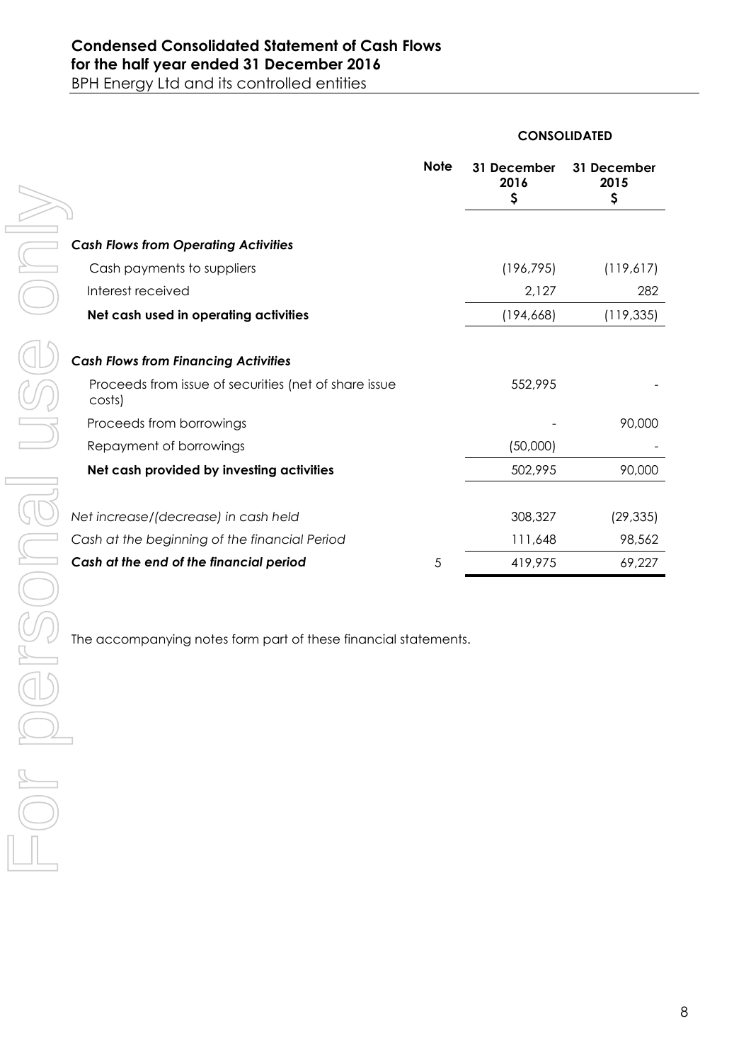#### **CONSOLIDATED**

|                                                                         |                                                                 | <b>Note</b> | 31 December<br>2016<br>\$ | 31 December<br>2015<br>\$ |
|-------------------------------------------------------------------------|-----------------------------------------------------------------|-------------|---------------------------|---------------------------|
|                                                                         | <b>Cash Flows from Operating Activities</b>                     |             |                           |                           |
|                                                                         | Cash payments to suppliers                                      |             | (196, 795)                | (119,617)                 |
|                                                                         | Interest received                                               |             | 2,127                     | 282                       |
|                                                                         | Net cash used in operating activities                           |             | (194, 668)                | (119, 335)                |
|                                                                         |                                                                 |             |                           |                           |
|                                                                         | <b>Cash Flows from Financing Activities</b>                     |             |                           |                           |
|                                                                         | Proceeds from issue of securities (net of share issue<br>costs) |             | 552,995                   |                           |
|                                                                         | Proceeds from borrowings                                        |             |                           | 90,000                    |
|                                                                         | Repayment of borrowings                                         |             | (50,000)                  |                           |
|                                                                         | Net cash provided by investing activities                       |             | 502,995                   | 90,000                    |
|                                                                         |                                                                 |             |                           |                           |
|                                                                         | Net increase/(decrease) in cash held                            |             | 308,327                   | (29, 335)                 |
|                                                                         | Cash at the beginning of the financial Period                   |             | 111,648                   | 98,562                    |
|                                                                         | Cash at the end of the financial period                         | 5           | 419,975                   | 69,227                    |
| $\begin{array}{c}\n\mathbb{R} \\ \mathbb{R} \\ \mathbb{R}\n\end{array}$ | The accompanying notes form part of these financial statements. |             |                           |                           |
|                                                                         |                                                                 |             |                           |                           |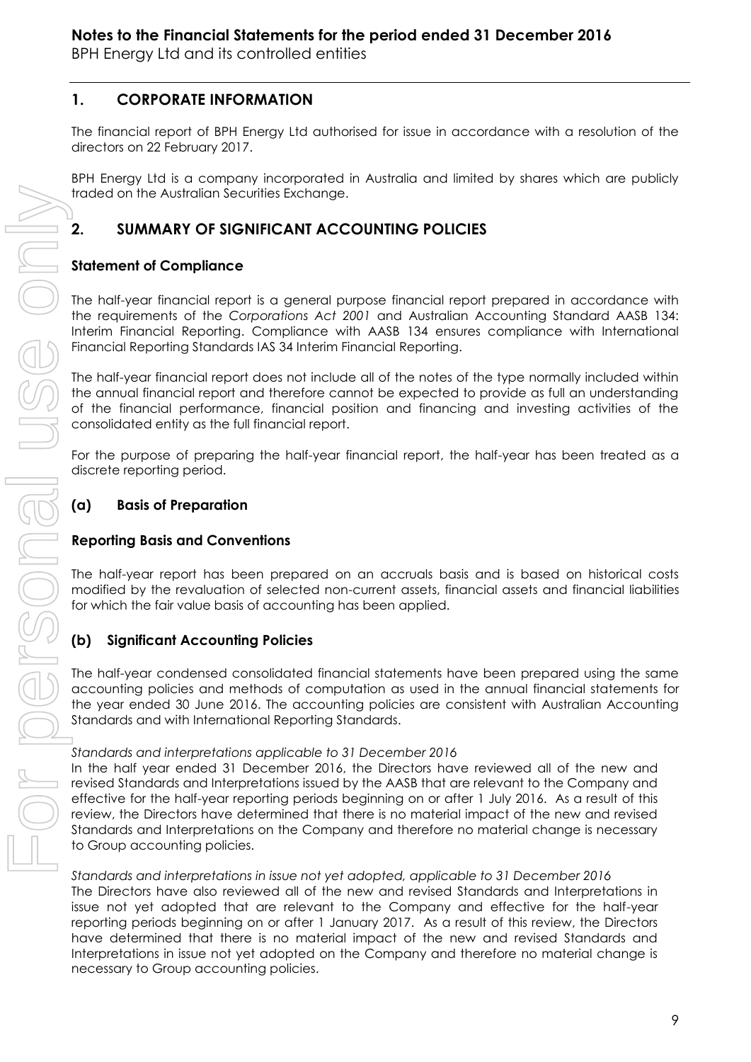## **1. CORPORATE INFORMATION**

The financial report of BPH Energy Ltd authorised for issue in accordance with a resolution of the directors on 22 February 2017.

BPH Energy Ltd is a company incorporated in Australia and limited by shares which are publicly traded on the Australian Securities Exchange.

## **2. SUMMARY OF SIGNIFICANT ACCOUNTING POLICIES**

## **Statement of Compliance**

The half-year financial report is a general purpose financial report prepared in accordance with the requirements of the *Corporations Act 2001* and Australian Accounting Standard AASB 134: Interim Financial Reporting. Compliance with AASB 134 ensures compliance with International Financial Reporting Standards IAS 34 Interim Financial Reporting.

The half-year financial report does not include all of the notes of the type normally included within the annual financial report and therefore cannot be expected to provide as full an understanding of the financial performance, financial position and financing and investing activities of the consolidated entity as the full financial report.

For the purpose of preparing the half-year financial report, the half-year has been treated as a discrete reporting period.

## **(a) Basis of Preparation**

## **Reporting Basis and Conventions**

The half-year report has been prepared on an accruals basis and is based on historical costs modified by the revaluation of selected non-current assets, financial assets and financial liabilities for which the fair value basis of accounting has been applied.

## **(b) Significant Accounting Policies**

The half-year condensed consolidated financial statements have been prepared using the same accounting policies and methods of computation as used in the annual financial statements for the year ended 30 June 2016. The accounting policies are consistent with Australian Accounting Standards and with International Reporting Standards.

## *Standards and interpretations applicable to 31 December 2016*

In the half year ended 31 December 2016, the Directors have reviewed all of the new and revised Standards and Interpretations issued by the AASB that are relevant to the Company and effective for the half-year reporting periods beginning on or after 1 July 2016. As a result of this review, the Directors have determined that there is no material impact of the new and revised Standards and Interpretations on the Company and therefore no material change is necessary to Group accounting policies.

*Standards and interpretations in issue not yet adopted, applicable to 31 December 2016* The Directors have also reviewed all of the new and revised Standards and Interpretations in issue not yet adopted that are relevant to the Company and effective for the half-year reporting periods beginning on or after 1 January 2017. As a result of this review, the Directors have determined that there is no material impact of the new and revised Standards and Interpretations in issue not yet adopted on the Company and therefore no material change is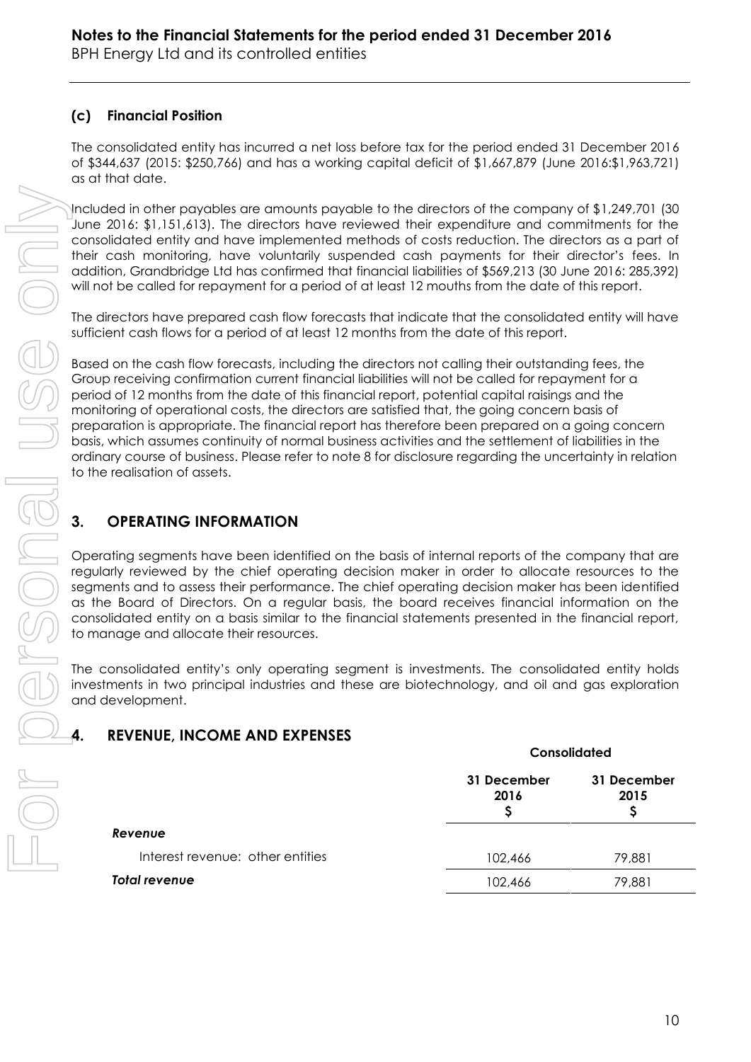## **(c) Financial Position**

The consolidated entity has incurred a net loss before tax for the period ended 31 December 2016 of \$344,637 (2015: \$250,766) and has a working capital deficit of \$1,667,879 (June 2016:\$1,963,721) as at that date.

Included in other payables are amounts payable to the directors of the company of \$1,249,701 (30 June 2016: \$1,151,613). The directors have reviewed their expenditure and commitments for the consolidated entity and have implemented methods of costs reduction. The directors as a part of their cash monitoring, have voluntarily suspended cash payments for their director's fees. In addition, Grandbridge Ltd has confirmed that financial liabilities of \$569,213 (30 June 2016: 285,392) will not be called for repayment for a period of at least 12 mouths from the date of this report.

The directors have prepared cash flow forecasts that indicate that the consolidated entity will have sufficient cash flows for a period of at least 12 months from the date of this report.

Based on the cash flow forecasts, including the directors not calling their outstanding fees, the Group receiving confirmation current financial liabilities will not be called for repayment for a period of 12 months from the date of this financial report, potential capital raisings and the monitoring of operational costs, the directors are satisfied that, the going concern basis of preparation is appropriate. The financial report has therefore been prepared on a going concern basis, which assumes continuity of normal business activities and the settlement of liabilities in the ordinary course of business. Please refer to note 8 for disclosure regarding the uncertainty in relation to the realisation of assets.

## **3. OPERATING INFORMATION**

Operating segments have been identified on the basis of internal reports of the company that are regularly reviewed by the chief operating decision maker in order to allocate resources to the segments and to assess their performance. The chief operating decision maker has been identified as the Board of Directors. On a regular basis, the board receives financial information on the consolidated entity on a basis similar to the financial statements presented in the financial report, to manage and allocate their resources.

The consolidated entity's only operating segment is investments. The consolidated entity holds investments in two principal industries and these are biotechnology, and oil and gas exploration and development.

## **4. REVENUE, INCOME AND EXPENSES**

|                                  | Consolidated        |                     |  |
|----------------------------------|---------------------|---------------------|--|
|                                  | 31 December<br>2016 | 31 December<br>2015 |  |
| Revenue                          |                     |                     |  |
| Interest revenue: other entities | 102,466             | 79,881              |  |
| Total revenue                    | 102,466             | 79,881              |  |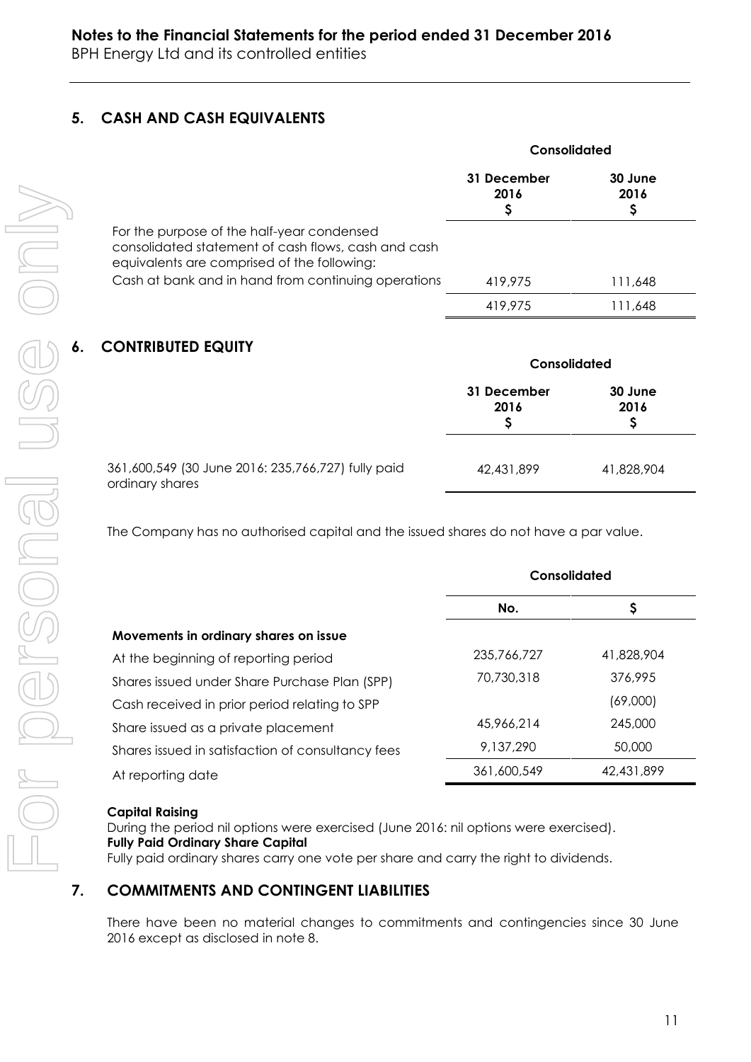## **5. CASH AND CASH EQUIVALENTS**

|                                                                                                                                                                                                         | Consolidated        |                 |  |
|---------------------------------------------------------------------------------------------------------------------------------------------------------------------------------------------------------|---------------------|-----------------|--|
|                                                                                                                                                                                                         | 31 December<br>2016 | 30 June<br>2016 |  |
| For the purpose of the half-year condensed<br>consolidated statement of cash flows, cash and cash<br>equivalents are comprised of the following:<br>Cash at bank and in hand from continuing operations | 419.975             | 111,648         |  |
|                                                                                                                                                                                                         | 419,975             | .648            |  |

## **6. CONTRIBUTED EQUITY**

|                                                                       | <b>Consolidated</b> |                 |  |
|-----------------------------------------------------------------------|---------------------|-----------------|--|
|                                                                       | 31 December<br>2016 | 30 June<br>2016 |  |
| 361,600,549 (30 June 2016: 235,766,727) fully paid<br>ordinary shares | 42,431,899          | 41,828,904      |  |

The Company has no authorised capital and the issued shares do not have a par value.

|                                                   | Consolidated |            |  |
|---------------------------------------------------|--------------|------------|--|
|                                                   | No.          | Ş          |  |
| Movements in ordinary shares on issue             |              |            |  |
| At the beginning of reporting period              | 235,766,727  | 41,828,904 |  |
| Shares issued under Share Purchase Plan (SPP)     | 70,730,318   | 376,995    |  |
| Cash received in prior period relating to SPP     |              | (69,000)   |  |
| Share issued as a private placement               | 45,966,214   | 245,000    |  |
| Shares issued in satisfaction of consultancy fees | 9,137,290    | 50,000     |  |
| At reporting date                                 | 361,600,549  | 42,431,899 |  |

## **Capital Raising**

During the period nil options were exercised (June 2016: nil options were exercised). **Fully Paid Ordinary Share Capital** Fully paid ordinary shares carry one vote per share and carry the right to dividends.

## **7. COMMITMENTS AND CONTINGENT LIABILITIES**

There have been no material changes to commitments and contingencies since 30 June 2016 except as disclosed in note 8.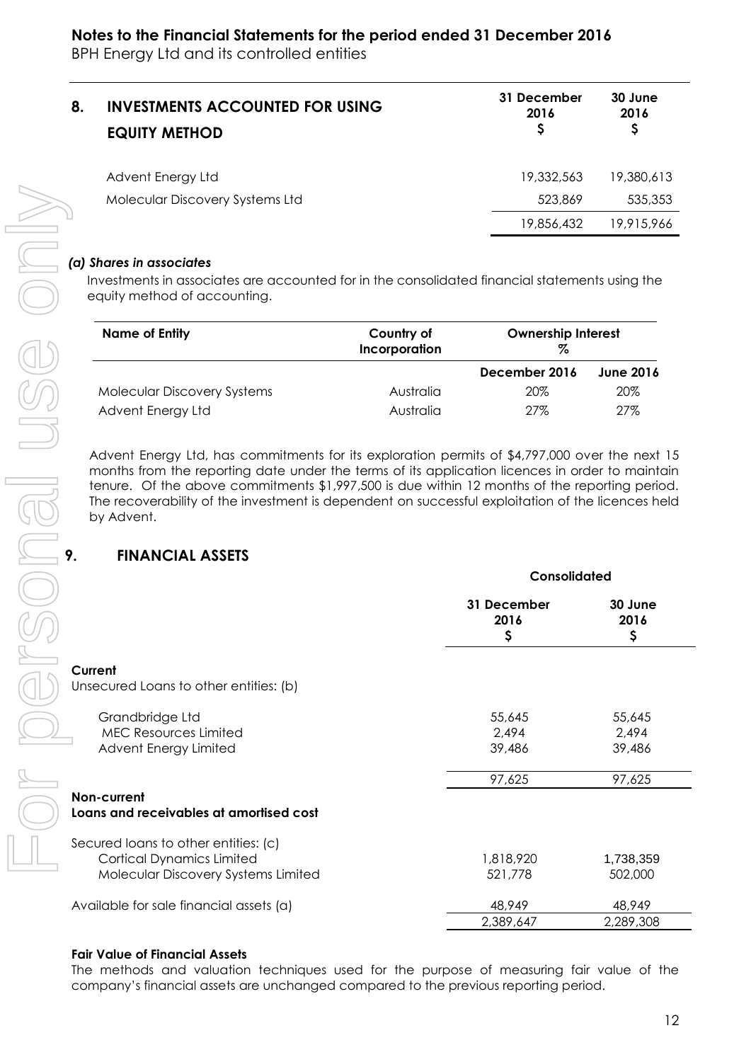| 8. | <b>INVESTMENTS ACCOUNTED FOR USING</b><br><b>EQUITY METHOD</b> | 31 December<br>2016 | 30 June<br>2016 |
|----|----------------------------------------------------------------|---------------------|-----------------|
|    | Advent Energy Ltd                                              | 19,332,563          | 19,380,613      |
|    | Molecular Discovery Systems Ltd                                | 523,869             | 535,353         |
|    |                                                                | 19,856,432          | 19,915,966      |

#### *(a) Shares in associates*

| <b>Name of Entity</b>       | Country of<br>Incorporation | <b>Ownership Interest</b><br>% |                  |
|-----------------------------|-----------------------------|--------------------------------|------------------|
|                             |                             | December 2016                  | <b>June 2016</b> |
| Molecular Discovery Systems | Australia                   | 20%                            | 20%              |
| Advent Energy Ltd           | Australia                   | 27%                            | 27%              |

## **9. FINANCIAL ASSETS**

| Molecular Discovery Systems Ltd                                                                                                                                                                                  |                             | 523,869             | 535,353                   |  |
|------------------------------------------------------------------------------------------------------------------------------------------------------------------------------------------------------------------|-----------------------------|---------------------|---------------------------|--|
|                                                                                                                                                                                                                  |                             | 19,856,432          | 19,915,966                |  |
| (a) Shares in associates                                                                                                                                                                                         |                             |                     |                           |  |
| Investments in associates are accounted for in the consolidated financial statements using the<br>equity method of accounting.                                                                                   |                             |                     |                           |  |
| <b>Name of Entity</b>                                                                                                                                                                                            | Country of<br>Incorporation | Z                   | <b>Ownership Interest</b> |  |
|                                                                                                                                                                                                                  |                             | December 2016       | <b>June 2016</b>          |  |
| <b>Molecular Discovery Systems</b>                                                                                                                                                                               | Australia                   | 20%                 | 20%                       |  |
| Advent Energy Ltd                                                                                                                                                                                                | Australia                   | 27%                 | 27%                       |  |
| tenure. Of the above commitments \$1,997,500 is due within 12 months of the reporting period.<br>The recoverability of the investment is dependent on successful exploitation of the licences held<br>by Advent. |                             |                     |                           |  |
| <b>FINANCIAL ASSETS</b><br>9.                                                                                                                                                                                    |                             |                     |                           |  |
|                                                                                                                                                                                                                  |                             | Consolidated        |                           |  |
|                                                                                                                                                                                                                  |                             | 31 December<br>2016 | 30 June<br>2016           |  |
|                                                                                                                                                                                                                  |                             | \$                  | \$                        |  |
| Current                                                                                                                                                                                                          |                             |                     |                           |  |
| Unsecured Loans to other entities: (b)                                                                                                                                                                           |                             |                     |                           |  |
|                                                                                                                                                                                                                  |                             |                     |                           |  |
| Grandbridge Ltd<br><b>MEC Resources Limited</b>                                                                                                                                                                  |                             | 55,645<br>2,494     | 55,645<br>2,494           |  |
| Advent Energy Limited                                                                                                                                                                                            |                             | 39,486              | 39,486                    |  |
|                                                                                                                                                                                                                  |                             | 97,625              | 97,625                    |  |
| Non-current                                                                                                                                                                                                      |                             |                     |                           |  |
| Loans and receivables at amortised cost                                                                                                                                                                          |                             |                     |                           |  |
| Secured loans to other entities: (c)                                                                                                                                                                             |                             |                     |                           |  |
| <b>Cortical Dynamics Limited</b>                                                                                                                                                                                 |                             | 1,818,920           | 1,738,359                 |  |
| Molecular Discovery Systems Limited                                                                                                                                                                              |                             | 521,778             | 502,000                   |  |
| Available for sale financial assets (a)                                                                                                                                                                          |                             | 48,949              | 48,949                    |  |

#### **Fair Value of Financial Assets**

The methods and valuation techniques used for the purpose of measuring fair value of the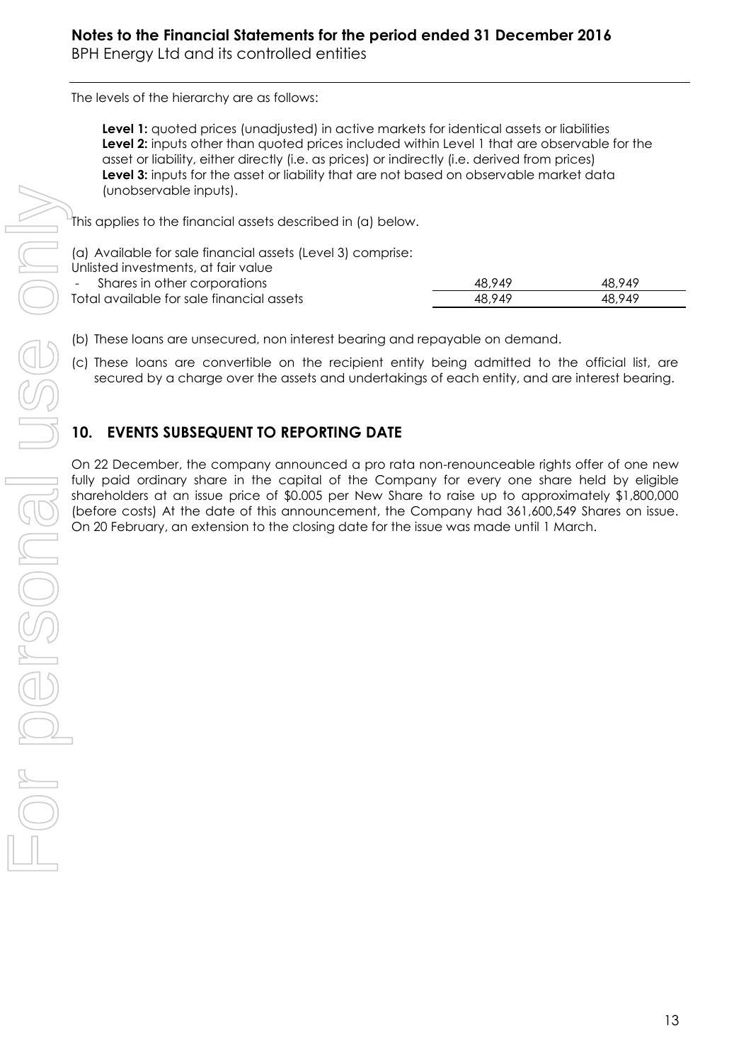The levels of the hierarchy are as follows:

**Level 1:** quoted prices (unadjusted) in active markets for identical assets or liabilities **Level 2:** inputs other than quoted prices included within Level 1 that are observable for the asset or liability, either directly (i.e. as prices) or indirectly (i.e. derived from prices) **Level 3:** inputs for the asset or liability that are not based on observable market data (unobservable inputs).

This applies to the financial assets described in (a) below.

| (a) Available for sale financial assets (Level 3) comprise: |        |        |  |  |
|-------------------------------------------------------------|--------|--------|--|--|
| Unlisted investments, at fair value                         |        |        |  |  |
| - Shares in other corporations                              | 48.949 | 48.949 |  |  |
| Total available for sale financial assets                   | 48.949 | 48.949 |  |  |
|                                                             |        |        |  |  |

(b) These loans are unsecured, non interest bearing and repayable on demand.

(c) These loans are convertible on the recipient entity being admitted to the official list, are secured by a charge over the assets and undertakings of each entity, and are interest bearing.

## **10. EVENTS SUBSEQUENT TO REPORTING DATE**

On 22 December, the company announced a pro rata non-renounceable rights offer of one new fully paid ordinary share in the capital of the Company for every one share held by eligible shareholders at an issue price of \$0.005 per New Share to raise up to approximately \$1,800,000 (before costs) At the date of this announcement, the Company had 361,600,549 Shares on issue.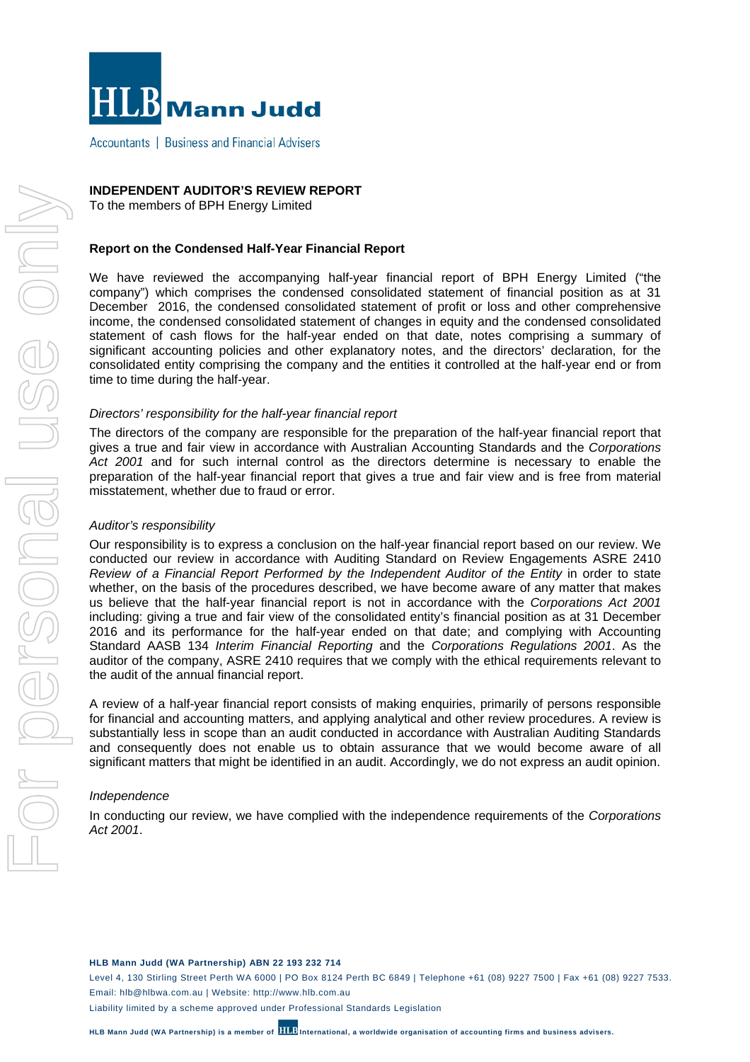

Accountants | Business and Financial Advisers

#### **INDEPENDENT AUDITOR'S REVIEW REPORT**

To the members of BPH Energy Limited

#### **Report on the Condensed Half-Year Financial Report**

We have reviewed the accompanying half-year financial report of BPH Energy Limited ("the company") which comprises the condensed consolidated statement of financial position as at 31 December 2016, the condensed consolidated statement of profit or loss and other comprehensive income, the condensed consolidated statement of changes in equity and the condensed consolidated statement of cash flows for the half-year ended on that date, notes comprising a summary of significant accounting policies and other explanatory notes, and the directors' declaration, for the consolidated entity comprising the company and the entities it controlled at the half-year end or from time to time during the half-year.

#### *Directors' responsibility for the half-year financial report*

The directors of the company are responsible for the preparation of the half-year financial report that gives a true and fair view in accordance with Australian Accounting Standards and the *Corporations*  Act 2001 and for such internal control as the directors determine is necessary to enable the preparation of the half-year financial report that gives a true and fair view and is free from material misstatement, whether due to fraud or error.

#### *Auditor's responsibility*

Our responsibility is to express a conclusion on the half-year financial report based on our review. We conducted our review in accordance with Auditing Standard on Review Engagements ASRE 2410 *Review of a Financial Report Performed by the Independent Auditor of the Entity* in order to state whether, on the basis of the procedures described, we have become aware of any matter that makes us believe that the half-year financial report is not in accordance with the *Corporations Act 2001*  including: giving a true and fair view of the consolidated entity's financial position as at 31 December 2016 and its performance for the half-year ended on that date; and complying with Accounting Standard AASB 134 *Interim Financial Reporting* and the *Corporations Regulations 2001*. As the auditor of the company, ASRE 2410 requires that we comply with the ethical requirements relevant to the audit of the annual financial report.

A review of a half-year financial report consists of making enquiries, primarily of persons responsible for financial and accounting matters, and applying analytical and other review procedures. A review is substantially less in scope than an audit conducted in accordance with Australian Auditing Standards and consequently does not enable us to obtain assurance that we would become aware of all significant matters that might be identified in an audit. Accordingly, we do not express an audit opinion.

#### *Independence*

In conducting our review, we have complied with the independence requirements of the *Corporations Act 2001*.

**HLB Mann Judd (WA Partnership) ABN 22 193 232 714** 

Level 4, 130 Stirling Street Perth WA 6000 | PO Box 8124 Perth BC 6849 | Telephone +61 (08) 9227 7500 | Fax +61 (08) 9227 7533. Email: hlb@hlbwa.com.au | Website: http://www.hlb.com.au

Liability limited by a scheme approved under Professional Standards Legislation